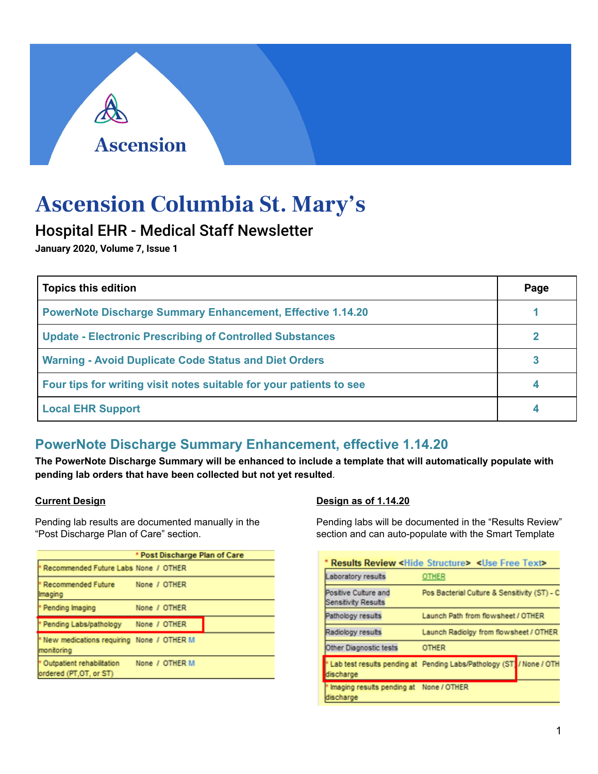# **Ascension Columbia St. Mary's**

## Hospital EHR - Medical Staff Newsletter

**Ascension** 

**January 2020, Volume 7, Issue 1** 

| <b>Topics this edition</b>                                          | Page |
|---------------------------------------------------------------------|------|
| <b>PowerNote Discharge Summary Enhancement, Effective 1.14.20</b>   |      |
| <b>Update - Electronic Prescribing of Controlled Substances</b>     |      |
| <b>Warning - Avoid Duplicate Code Status and Diet Orders</b>        |      |
| Four tips for writing visit notes suitable for your patients to see |      |
| <b>Local EHR Support</b>                                            |      |

## **PowerNote Discharge Summary Enhancement, effective 1.14.20**

**The PowerNote Discharge Summary will be enhanced to include a template that will automatically populate with pending lab orders that have been collected but not yet resulted**.

## **Current Design**

Pending lab results are documented manually in the "Post Discharge Plan of Care" section.

|                                                                     |                |  | * Post Discharge Plan of Care |
|---------------------------------------------------------------------|----------------|--|-------------------------------|
| P Recommended Future Labs None / OTHER                              |                |  |                               |
| <sup>*</sup> Recommended Future<br>Imaging                          | None / OTHER   |  |                               |
| * Pending Imaging                                                   | None / OTHER   |  |                               |
| * Pending Labs/pathology                                            | None / OTHER   |  |                               |
| <sup>*</sup> New medications requiring None / OTHER M<br>monitoring |                |  |                               |
| <sup>*</sup> Outpatient rehabilitation<br>ordered (PT, OT, or ST)   | None / OTHER M |  |                               |

## **Design as of 1.14.20**

Pending labs will be documented in the "Results Review" section and can auto-populate with the Smart Template

|                                                      | <b>Results Review <hide structure=""> <use free="" text=""></use></hide></b> |                                        |  |
|------------------------------------------------------|------------------------------------------------------------------------------|----------------------------------------|--|
| Laboratory results                                   | <b>OTHER</b>                                                                 |                                        |  |
| Positive Culture and<br>Sensitivity Results          | Pos Bacterial Culture & Sensitivity (ST) - C                                 |                                        |  |
| Pathology results                                    | Launch Path from flowsheet / OTHER                                           |                                        |  |
| Radiology results                                    |                                                                              | Launch Radiolgy from flowsheet / OTHER |  |
| Other Diagnostic tests                               | <b>OTHER</b>                                                                 |                                        |  |
| discharge                                            | " Lab test results pending at Pending Labs/Pathology (ST / None / OTH        |                                        |  |
| Imaging results pending at None / OTHER<br>discharge |                                                                              |                                        |  |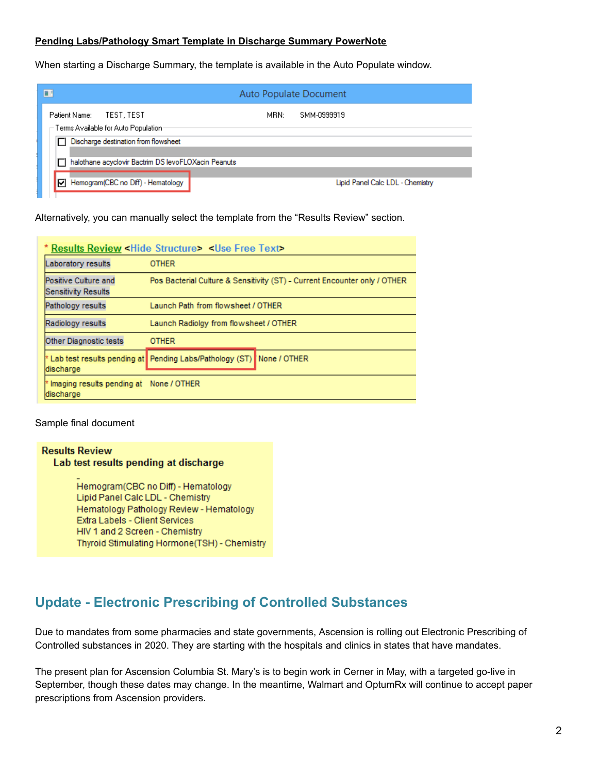#### **Pending Labs/Pathology Smart Template in Discharge Summary PowerNote**

When starting a Discharge Summary, the template is available in the Auto Populate window.

| Auto Populate Document |  |  |  |
|------------------------|--|--|--|
|                        |  |  |  |
|                        |  |  |  |
|                        |  |  |  |
|                        |  |  |  |
|                        |  |  |  |

Alternatively, you can manually select the template from the "Results Review" section.

|                                                      | * Results Review < Hide Structure> < Use Free Text>                       |
|------------------------------------------------------|---------------------------------------------------------------------------|
| Laboratory results                                   | <b>OTHER</b>                                                              |
| Positive Culture and<br><b>Sensitivity Results</b>   | Pos Bacterial Culture & Sensitivity (ST) - Current Encounter only / OTHER |
| Pathology results                                    | Launch Path from flowsheet / OTHER                                        |
| Radiology results                                    | Launch Radiolgy from flowsheet / OTHER                                    |
| Other Diagnostic tests                               | <b>OTHER</b>                                                              |
| discharge                                            | * Lab test results pending at Pending Labs/Pathology (ST) None / OTHER    |
| Imaging results pending at None / OTHER<br>discharge |                                                                           |

Sample final document

#### **Results Review** Lab test results pending at discharge

Hemogram(CBC no Diff) - Hematology Lipid Panel Calc LDL - Chemistry Hematology Pathology Review - Hematology Extra Labels - Client Services HIV 1 and 2 Screen - Chemistry Thyroid Stimulating Hormone(TSH) - Chemistry

## **Update - Electronic Prescribing of Controlled Substances**

Due to mandates from some pharmacies and state governments, Ascension is rolling out Electronic Prescribing of Controlled substances in 2020. They are starting with the hospitals and clinics in states that have mandates.

The present plan for Ascension Columbia St. Mary's is to begin work in Cerner in May, with a targeted go-live in September, though these dates may change. In the meantime, Walmart and OptumRx will continue to accept paper prescriptions from Ascension providers.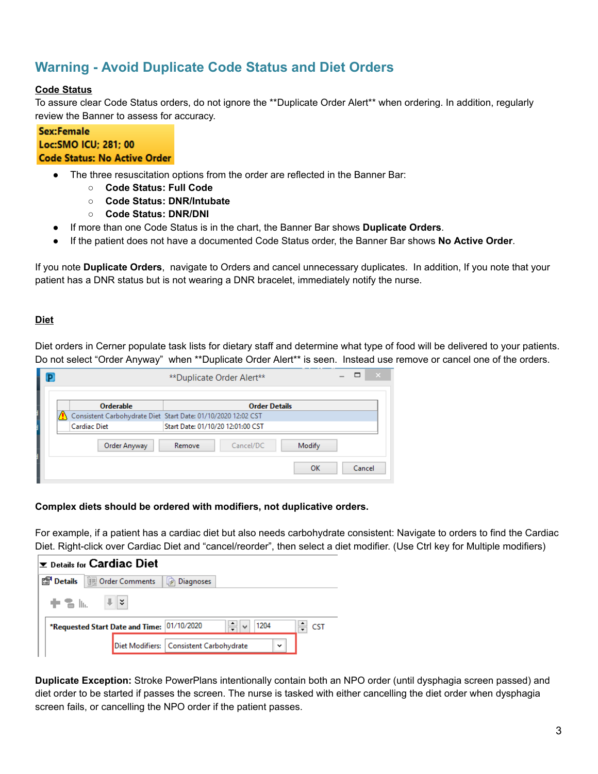## **Warning - Avoid Duplicate Code Status and Diet Orders**

## **Code Status**

To assure clear Code Status orders, do not ignore the \*\*Duplicate Order Alert\*\* when ordering. In addition, regularly review the Banner to assess for accuracy.

#### **Sex:Female** Loc: SMO ICU; 281; 00 **Code Status: No Active Order**

- The three resuscitation options from the order are reflected in the Banner Bar:
	- **Code Status: Full Code**
	- **○ Code Status: DNR/Intubate**
	- **○ Code Status: DNR/DNI**
- If more than one Code Status is in the chart, the Banner Bar shows **Duplicate Orders**.
- If the patient does not have a documented Code Status order, the Banner Bar shows **No Active Order**.

If you note **Duplicate Orders**, navigate to Orders and cancel unnecessary duplicates. In addition, If you note that your patient has a DNR status but is not wearing a DNR bracelet, immediately notify the nurse.

## **Diet**

Diet orders in Cerner populate task lists for dietary staff and determine what type of food will be delivered to your patients. Do not select "Order Anyway" when \*\*Duplicate Order Alert\*\* is seen. Instead use remove or cancel one of the orders.

|  |                     | **Duplicate Order Alert**                                     | $\times$ |
|--|---------------------|---------------------------------------------------------------|----------|
|  | Orderable           | <b>Order Details</b>                                          |          |
|  |                     | Consistent Carbohydrate Diet Start Date: 01/10/2020 12:02 CST |          |
|  | <b>Cardiac Diet</b> | Start Date: 01/10/20 12:01:00 CST                             |          |
|  | Order Anyway        | Modify<br>Cancel/DC<br>Remove                                 |          |
|  |                     | ок                                                            | Cancel   |

#### **Complex diets should be ordered with modifiers, not duplicative orders.**

For example, if a patient has a cardiac diet but also needs carbohydrate consistent: Navigate to orders to find the Cardiac Diet. Right-click over Cardiac Diet and "cancel/reorder", then select a diet modifier. (Use Ctrl key for Multiple modifiers)



**Duplicate Exception:** Stroke PowerPlans intentionally contain both an NPO order (until dysphagia screen passed) and diet order to be started if passes the screen. The nurse is tasked with either cancelling the diet order when dysphagia screen fails, or cancelling the NPO order if the patient passes.